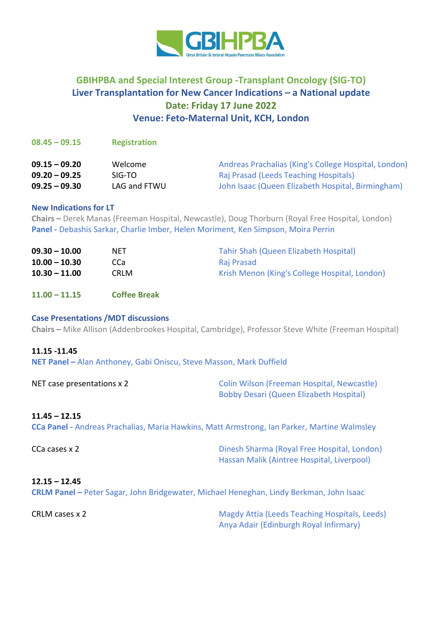

# **GBIHPBA and Special Interest Group -Transplant Oncology (SIG-TO) Liver Transplantation for New Cancer Indications – a National update Date: Friday 17 June 2022 Venue: Feto-Maternal Unit, KCH, London**

### **08.45 – 09.15 Registration**

| $09.15 - 09.20$ | Welcome      | Andreas Prachalias (King's College Hospital, London) |
|-----------------|--------------|------------------------------------------------------|
| $09.20 - 09.25$ | SIG-TO       | Raj Prasad (Leeds Teaching Hospitals)                |
| $09.25 - 09.30$ | LAG and FTWU | John Isaac (Queen Elizabeth Hospital, Birmingham)    |

### **New Indications for LT**

**Chairs –** Derek Manas (Freeman Hospital, Newcastle), Doug Thorburn (Royal Free Hospital, London) **Panel -** Debashis Sarkar, Charlie Imber, Helen Moriment, Ken Simpson, Moira Perrin

| $09.30 - 10.00$ | NET  | Tahir Shah (Queen Elizabeth Hospital)         |
|-----------------|------|-----------------------------------------------|
| $10.00 - 10.30$ | CCa  | Raj Prasad                                    |
| $10.30 - 11.00$ | CRLM | Krish Menon (King's College Hospital, London) |

**11.00 – 11.15 Coffee Break**

# **Case Presentations /MDT discussions**

**Chairs –** Mike Allison (Addenbrookes Hospital, Cambridge), Professor Steve White (Freeman Hospital)

#### **11.15 -11.45**

**NET Panel –** Alan Anthoney, Gabi Oniscu, Steve Masson, Mark Duffield

NET case presentations x 2 Colin Wilson (Freeman Hospital, Newcastle) Bobby Desari (Queen Elizabeth Hospital)

# **11.45 – 12.15**

**CCa Panel -** Andreas Prachalias, Maria Hawkins, Matt Armstrong, Ian Parker, Martine Walmsley

CCa cases x 2 Dinesh Sharma (Royal Free Hospital, London) Hassan Malik (Aintree Hospital, Liverpool)

### **12.15 – 12.45**

**CRLM Panel –** Peter Sagar, John Bridgewater, Michael Heneghan, Lindy Berkman, John Isaac

CRLM cases x 2 Magdy Attia (Leeds Teaching Hospitals, Leeds) Anya Adair (Edinburgh Royal Infirmary)